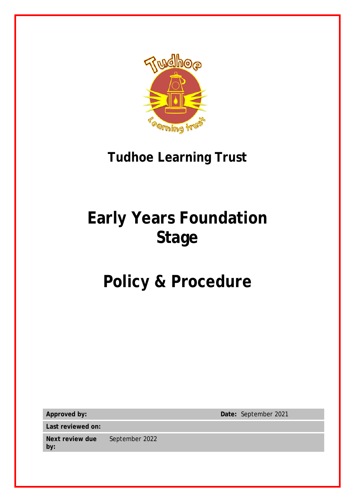

# **Tudhoe Learning Trust**

# **Early Years Foundation Stage**

# **Policy & Procedure**

**Last reviewed on:**

**Next review due by:** September 2022

**Approved by: Date:** September 2021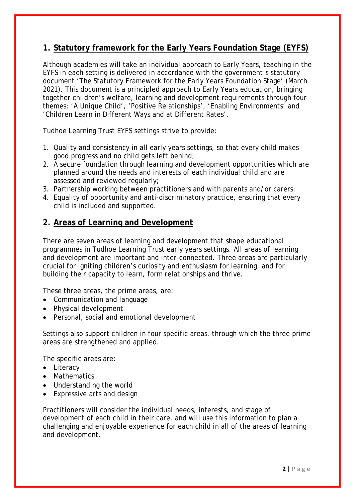# **1. Statutory framework for the Early Years Foundation Stage (EYFS)**

Although academies will take an individual approach to Early Years, teaching in the EYFS in each setting is delivered in accordance with the government's statutory document 'The Statutory Framework for the Early Years Foundation Stage' (March 2021). This document is a principled approach to Early Years education, bringing together children's welfare, learning and development requirements through four themes: 'A Unique Child', 'Positive Relationships', 'Enabling Environments' and 'Children Learn in Different Ways and at Different Rates'.

Tudhoe Learning Trust EYFS settings strive to provide:

- 1. Quality and consistency in all early years settings, so that every child makes good progress and no child gets left behind;
- 2. A secure foundation through learning and development opportunities which are planned around the needs and interests of each individual child and are assessed and reviewed regularly;
- 3. Partnership working between practitioners and with parents and/or carers;
- 4. Equality of opportunity and anti-discriminatory practice, ensuring that every child is included and supported.

## **2. Areas of Learning and Development**

There are seven areas of learning and development that shape educational programmes in Tudhoe Learning Trust early years settings. All areas of learning and development are important and inter-connected. Three areas are particularly crucial for igniting children's curiosity and enthusiasm for learning, and for building their capacity to learn, form relationships and thrive.

These three areas, the prime areas, are:

- Communication and language
- Physical development
- Personal, social and emotional development

Settings also support children in four specific areas, through which the three prime areas are strengthened and applied.

The specific areas are:

- Literacy
- Mathematics
- Understanding the world
- Expressive arts and design

Practitioners will consider the individual needs, interests, and stage of development of each child in their care, and will use this information to plan a challenging and enjoyable experience for each child in all of the areas of learning and development.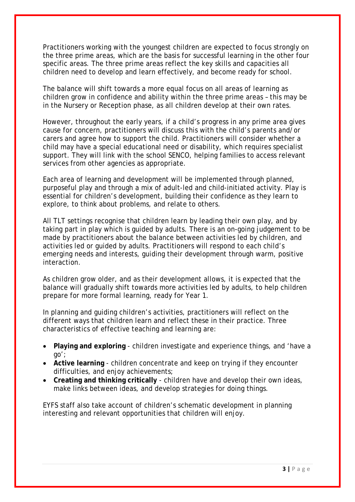Practitioners working with the youngest children are expected to focus strongly on the three prime areas, which are the basis for successful learning in the other four specific areas. The three prime areas reflect the key skills and capacities all children need to develop and learn effectively, and become ready for school.

The balance will shift towards a more equal focus on all areas of learning as children grow in confidence and ability within the three prime areas – this may be in the Nursery or Reception phase, as all children develop at their own rates.

However, throughout the early years, if a child's progress in any prime area gives cause for concern, practitioners will discuss this with the child's parents and/or carers and agree how to support the child. Practitioners will consider whether a child may have a special educational need or disability, which requires specialist support. They will link with the school SENCO, helping families to access relevant services from other agencies as appropriate.

Each area of learning and development will be implemented through planned, purposeful play and through a mix of adult-led and child-initiated activity. Play is essential for children's development, building their confidence as they learn to explore, to think about problems, and relate to others.

All TLT settings recognise that children learn by leading their own play, and by taking part in play which is guided by adults. There is an on-going judgement to be made by practitioners about the balance between activities led by children, and activities led or guided by adults. Practitioners will respond to each child's emerging needs and interests, guiding their development through warm, positive interaction.

As children grow older, and as their development allows, it is expected that the balance will gradually shift towards more activities led by adults, to help children prepare for more formal learning, ready for Year 1.

In planning and guiding children's activities, practitioners will reflect on the different ways that children learn and reflect these in their practice. Three characteristics of effective teaching and learning are:

- **Playing and exploring** children investigate and experience things, and 'have a go';
- **Active learning** children concentrate and keep on trying if they encounter difficulties, and enjoy achievements;
- **Creating and thinking critically** children have and develop their own ideas, make links between ideas, and develop strategies for doing things.

EYFS staff also take account of children's schematic development in planning interesting and relevant opportunities that children will enjoy.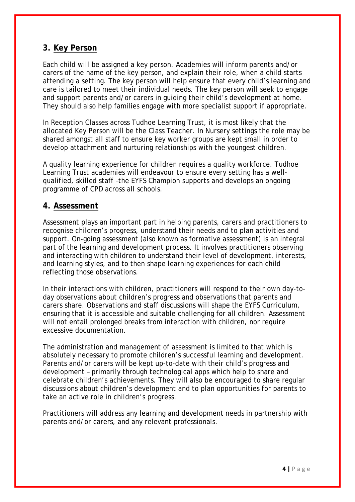## **3. Key Person**

Each child will be assigned a key person. Academies will inform parents and/or carers of the name of the key person, and explain their role, when a child starts attending a setting. The key person will help ensure that every child's learning and care is tailored to meet their individual needs. The key person will seek to engage and support parents and/or carers in guiding their child's development at home. They should also help families engage with more specialist support if appropriate.

In Reception Classes across Tudhoe Learning Trust, it is most likely that the allocated Key Person will be the Class Teacher. In Nursery settings the role may be shared amongst all staff to ensure key worker groups are kept small in order to develop attachment and nurturing relationships with the youngest children.

A quality learning experience for children requires a quality workforce. Tudhoe Learning Trust academies will endeavour to ensure every setting has a wellqualified, skilled staff –the EYFS Champion supports and develops an ongoing programme of CPD across all schools.

#### **4. Assessment**

Assessment plays an important part in helping parents, carers and practitioners to recognise children's progress, understand their needs and to plan activities and support. On-going assessment (also known as formative assessment) is an integral part of the learning and development process. It involves practitioners observing and interacting with children to understand their level of development, interests, and learning styles, and to then shape learning experiences for each child reflecting those observations.

In their interactions with children, practitioners will respond to their own day-today observations about children's progress and observations that parents and carers share. Observations and staff discussions will shape the EYFS Curriculum, ensuring that it is accessible and suitable challenging for all children. Assessment will not entail prolonged breaks from interaction with children, nor require excessive documentation.

The administration and management of assessment is limited to that which is absolutely necessary to promote children's successful learning and development. Parents and/or carers will be kept up-to-date with their child's progress and development – primarily through technological apps which help to share and celebrate children's achievements. They will also be encouraged to share regular discussions about children's development and to plan opportunities for parents to take an active role in children's progress.

Practitioners will address any learning and development needs in partnership with parents and/or carers, and any relevant professionals.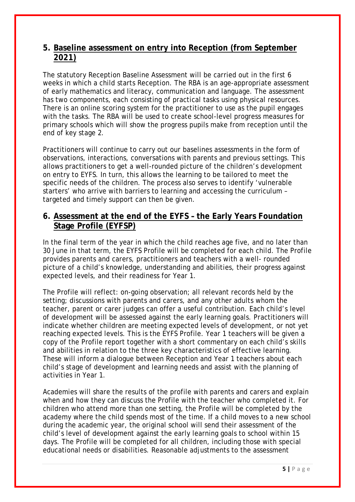### **5. Baseline assessment on entry into Reception (from September 2021)**

The statutory Reception Baseline Assessment will be carried out in the first 6 weeks in which a child starts Reception. The RBA is an age-appropriate assessment of early mathematics and literacy, communication and language. The assessment has two components, each consisting of practical tasks using physical resources. There is an online scoring system for the practitioner to use as the pupil engages with the tasks. The RBA will be used to create school-level progress measures for primary schools which will show the progress pupils make from reception until the end of key stage 2.

Practitioners will continue to carry out our baselines assessments in the form of observations, interactions, conversations with parents and previous settings. This allows practitioners to get a well-rounded picture of the children's development on entry to EYFS. In turn, this allows the learning to be tailored to meet the specific needs of the children. The process also serves to identify 'vulnerable starters' who arrive with barriers to learning and accessing the curriculum – targeted and timely support can then be given.

### **6. Assessment at the end of the EYFS – the Early Years Foundation Stage Profile (EYFSP)**

In the final term of the year in which the child reaches age five, and no later than 30 June in that term, the EYFS Profile will be completed for each child. The Profile provides parents and carers, practitioners and teachers with a well- rounded picture of a child's knowledge, understanding and abilities, their progress against expected levels, and their readiness for Year 1.

The Profile will reflect: on-going observation; all relevant records held by the setting; discussions with parents and carers, and any other adults whom the teacher, parent or carer judges can offer a useful contribution. Each child's level of development will be assessed against the early learning goals. Practitioners will indicate whether children are meeting expected levels of development, or not yet reaching expected levels. This is the EYFS Profile. Year 1 teachers will be given a copy of the Profile report together with a short commentary on each child's skills and abilities in relation to the three key characteristics of effective learning. These will inform a dialogue between Reception and Year 1 teachers about each child's stage of development and learning needs and assist with the planning of activities in Year 1.

Academies will share the results of the profile with parents and carers and explain when and how they can discuss the Profile with the teacher who completed it. For children who attend more than one setting, the Profile will be completed by the academy where the child spends most of the time. If a child moves to a new school during the academic year, the original school will send their assessment of the child's level of development against the early learning goals to school within 15 days. The Profile will be completed for all children, including those with special educational needs or disabilities. Reasonable adjustments to the assessment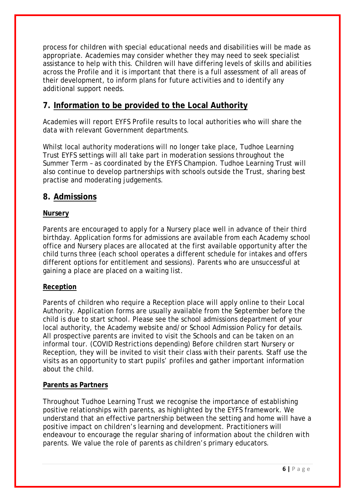process for children with special educational needs and disabilities will be made as appropriate. Academies may consider whether they may need to seek specialist assistance to help with this. Children will have differing levels of skills and abilities across the Profile and it is important that there is a full assessment of all areas of their development, to inform plans for future activities and to identify any additional support needs.

# **7. Information to be provided to the Local Authority**

Academies will report EYFS Profile results to local authorities who will share the data with relevant Government departments.

Whilst local authority moderations will no longer take place, Tudhoe Learning Trust EYFS settings will all take part in moderation sessions throughout the Summer Term – as coordinated by the EYFS Champion. Tudhoe Learning Trust will also continue to develop partnerships with schools outside the Trust, sharing best practise and moderating judgements.

#### **8. Admissions**

#### **Nursery**

Parents are encouraged to apply for a Nursery place well in advance of their third birthday. Application forms for admissions are available from each Academy school office and Nursery places are allocated at the first available opportunity after the child turns three (each school operates a different schedule for intakes and offers different options for entitlement and sessions). Parents who are unsuccessful at gaining a place are placed on a waiting list.

#### **Reception**

Parents of children who require a Reception place will apply online to their Local Authority. Application forms are usually available from the September before the child is due to start school. Please see the school admissions department of your local authority, the Academy website and/or School Admission Policy for details. All prospective parents are invited to visit the Schools and can be taken on an informal tour. (COVID Restrictions depending) Before children start Nursery or Reception, they will be invited to visit their class with their parents. Staff use the visits as an opportunity to start pupils' profiles and gather important information about the child.

#### **Parents as Partners**

Throughout Tudhoe Learning Trust we recognise the importance of establishing positive relationships with parents, as highlighted by the EYFS framework. We understand that an effective partnership between the setting and home will have a positive impact on children's learning and development. Practitioners will endeavour to encourage the regular sharing of information about the children with parents. We value the role of parents as children's primary educators.